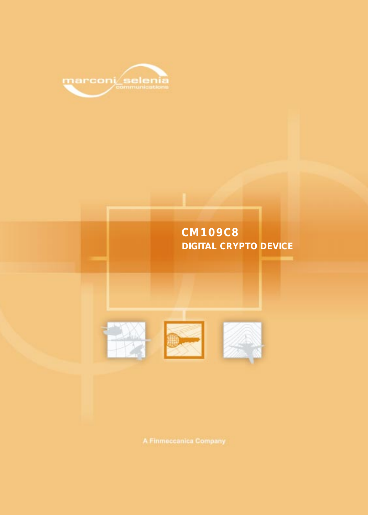

# **CM109C8 DIGITAL CRYPTO DEVICE**





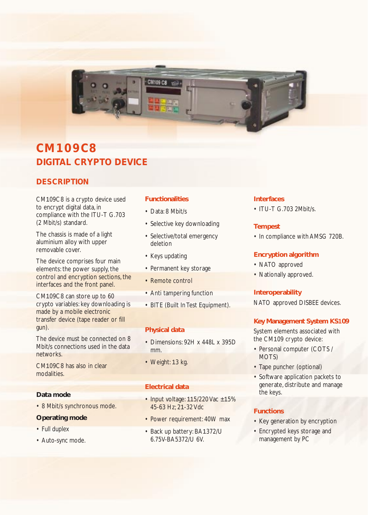

# **CM109C8 DIGITAL CRYPTO DEVICE**

## **DESCRIPTION**

CM109C8 is a crypto device used to encrypt digital data, in compliance with the ITU-T G.703 (2 Mbit/s) standard.

The chassis is made of a light aluminium alloy with upper removable cover.

The device comprises four main elements: the power supply, the control and encryption sections, the interfaces and the front panel.

CM109C8 can store up to 60 crypto variables: key downloading is made by a mobile electronic transfer device (tape reader or fill gun).

The device must be connected on 8 Mbit/s connections used in the data networks.

CM109C8 has also in clear modalities.

## **Data mode**

• 8 Mbit/s synchronous mode.

### **Operating mode**

- Full duplex
- Auto-sync mode.

## **Functionalities**

- Data: 8 Mbit/s
- Selective key downloading
- Selective/total emergency deletion
- Keys updating
- Permanent key storage
- Remote control
- Anti tampering function
- BITE (Built In Test Equipment).

## **Physical data**

- Dimensions: 92H x 448L x 395D mm.
- Weight: 13 kg.

## **Electrical data**

- Input voltage: 115/220 Vac ±15% 45-63 Hz; 21-32 Vdc
- Power requirement: 40W max
- Back up battery: BA1372/U 6.75V-BA5372/U 6V.

### **Interfaces**

• ITU-T G.703 2Mbit/s.

### **Tempest**

• In compliance with AMSG 720B.

## **Encryption algorithm**

- NATO approved
- Nationally approved.

## **Interoperability**

NATO approved DISBEE devices.

## **Key Management System KS109**

System elements associated with the CM109 crypto device:

- Personal computer (COTS / MOTS)
- Tape puncher (optional)
- Software application packets to generate, distribute and manage the keys.

## **Functions**

- Key generation by encryption
- Encrypted keys storage and management by PC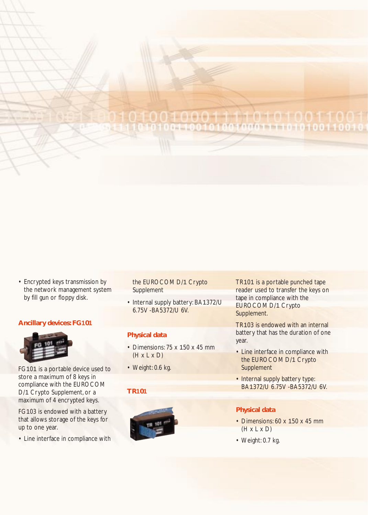## **O.O.O. de destinado a la C.O.O.** 010001110101

• Encrypted keys transmission by the network management system by fill gun or floppy disk.

#### **Ancillary devices: FG101**



FG101 is a portable device used to store a maximum of 8 keys in compliance with the EUROCOM D/1 Crypto Supplement, or a maximum of 4 encrypted keys.

FG103 is endowed with a battery that allows storage of the keys for up to one year.

• Line interface in compliance with

the EUROCOM D/1 Crypto **Supplement** 

• Internal supply battery: BA1372/U 6.75V -BA5372/U 6V.

#### **Physical data**

- Dimensions: 75 x 150 x 45 mm  $(H \times L \times D)$
- Weight: 0.6 kg.

#### **TR101**



TR101 is a portable punched tape reader used to transfer the keys on tape in compliance with the EUROCOM D/1 Crypto Supplement.

TR103 is endowed with an internal battery that has the duration of one year.

- Line interface in compliance with the EUROCOM D/1 Crypto Supplement
- Internal supply battery type: BA1372/U 6.75V -BA5372/U 6V.

#### **Physical data**

- Dimensions: 60 x 150 x 45 mm  $(H \times L \times D)$
- Weight: 0.7 kg.